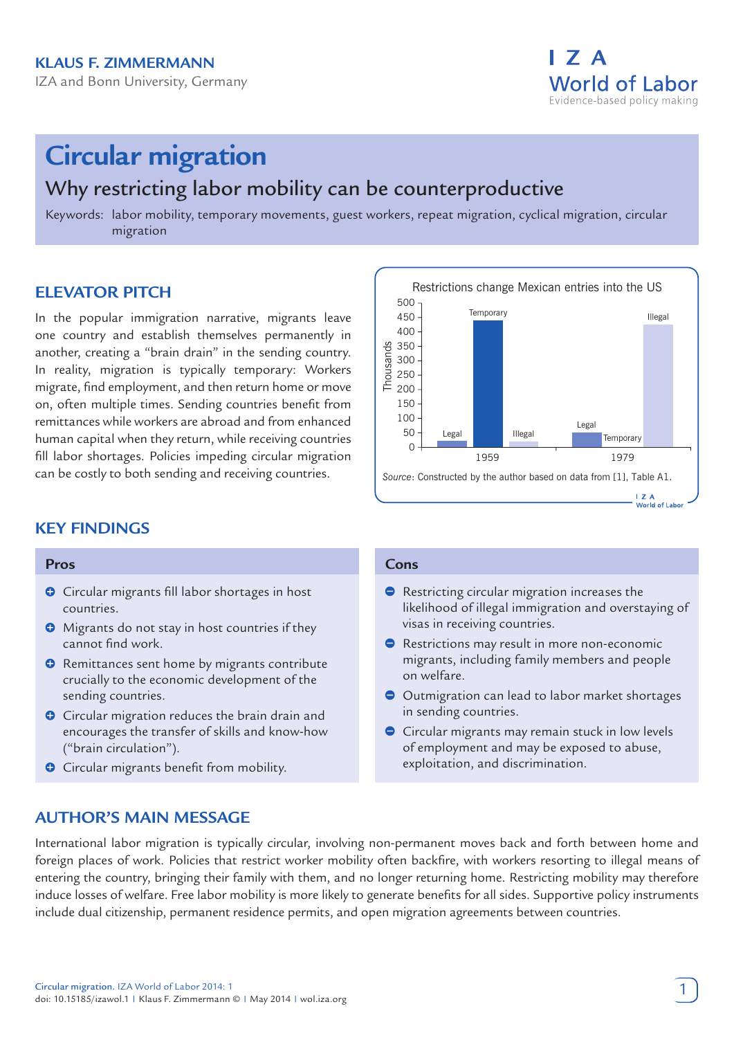

# **Circular migration**

# Why restricting labor mobility can be counterproductive

Keywords: labor mobility, temporary movements, guest workers, repeat migration, cyclical migration, circular migration

# **ELEVATOR PITCH**

In the popular immigration narrative, migrants leave one country and establish themselves permanently in another, creating a "brain drain" in the sending country. In reality, migration is typically temporary: Workers migrate, find employment, and then return home or move on, often multiple times. Sending countries benefit from remittances while workers are abroad and from enhanced human capital when they return, while receiving countries fill labor shortages. Policies impeding circular migration can be costly to both sending and receiving countries.

# **KEY FINDINGS**

#### **Pros**

- **O** Circular migrants fill labor shortages in host countries.
- **O** Migrants do not stay in host countries if they cannot find work.
- **O** Remittances sent home by migrants contribute crucially to the economic development of the sending countries.
- **O** Circular migration reduces the brain drain and encourages the transfer of skills and know-how ("brain circulation").
- **C** Circular migrants benefit from mobility.

#### Restrictions change Mexican entries into the US 500 **Temporary** 450 Illegal 400 350 Thousands 300 Thousar 250 200 150 100 Legal 50 Legal Illegal **Temporary**  $\Omega$ 1959 1979 *Source*: Constructed by the author based on data from [1], Table A1.  $1.7A$ World of Labor

#### **Cons**

- **•** Restricting circular migration increases the likelihood of illegal immigration and overstaying of visas in receiving countries.
- Restrictions may result in more non-economic migrants, including family members and people on welfare.
- O Outmigration can lead to labor market shortages in sending countries.
- **Circular migrants may remain stuck in low levels** of employment and may be exposed to abuse, exploitation, and discrimination.

# **AUTHOR'S MAIN MESSAGE**

International labor migration is typically circular, involving non-permanent moves back and forth between home and foreign places of work. Policies that restrict worker mobility often backfire, with workers resorting to illegal means of entering the country, bringing their family with them, and no longer returning home. Restricting mobility may therefore induce losses of welfare. Free labor mobility is more likely to generate benefits for all sides. Supportive policy instruments include dual citizenship, permanent residence permits, and open migration agreements between countries.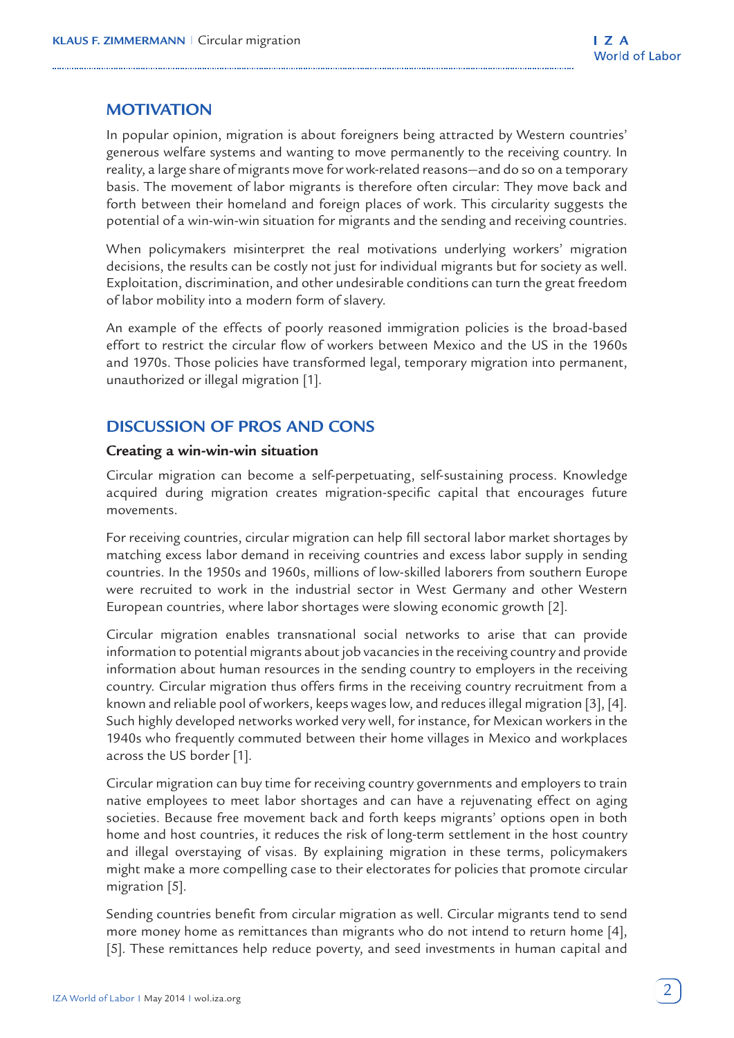# **MOTIVATION**

In popular opinion, migration is about foreigners being attracted by Western countries' generous welfare systems and wanting to move permanently to the receiving country. In reality, a large share of migrants move for work-related reasons—and do so on a temporary basis. The movement of labor migrants is therefore often circular: They move back and forth between their homeland and foreign places of work. This circularity suggests the potential of a win-win-win situation for migrants and the sending and receiving countries.

When policymakers misinterpret the real motivations underlying workers' migration decisions, the results can be costly not just for individual migrants but for society as well. Exploitation, discrimination, and other undesirable conditions can turn the great freedom of labor mobility into a modern form of slavery.

An example of the effects of poorly reasoned immigration policies is the broad-based effort to restrict the circular flow of workers between Mexico and the US in the 1960s and 1970s. Those policies have transformed legal, temporary migration into permanent, unauthorized or illegal migration [1].

# **DISCUSSION OF PROS AND CONS**

#### **Creating a win-win-win situation**

Circular migration can become a self-perpetuating, self-sustaining process. Knowledge acquired during migration creates migration-specific capital that encourages future movements.

For receiving countries, circular migration can help fill sectoral labor market shortages by matching excess labor demand in receiving countries and excess labor supply in sending countries. In the 1950s and 1960s, millions of low-skilled laborers from southern Europe were recruited to work in the industrial sector in West Germany and other Western European countries, where labor shortages were slowing economic growth [2].

Circular migration enables transnational social networks to arise that can provide information to potential migrants about job vacancies in the receiving country and provide information about human resources in the sending country to employers in the receiving country. Circular migration thus offers firms in the receiving country recruitment from a known and reliable pool of workers, keeps wages low, and reduces illegal migration [3], [4]. Such highly developed networks worked very well, for instance, for Mexican workers in the 1940s who frequently commuted between their home villages in Mexico and workplaces across the US border [1].

Circular migration can buy time for receiving country governments and employers to train native employees to meet labor shortages and can have a rejuvenating effect on aging societies. Because free movement back and forth keeps migrants' options open in both home and host countries, it reduces the risk of long-term settlement in the host country and illegal overstaying of visas. By explaining migration in these terms, policymakers might make a more compelling case to their electorates for policies that promote circular migration [5].

Sending countries benefit from circular migration as well. Circular migrants tend to send more money home as remittances than migrants who do not intend to return home [4], [5]. These remittances help reduce poverty, and seed investments in human capital and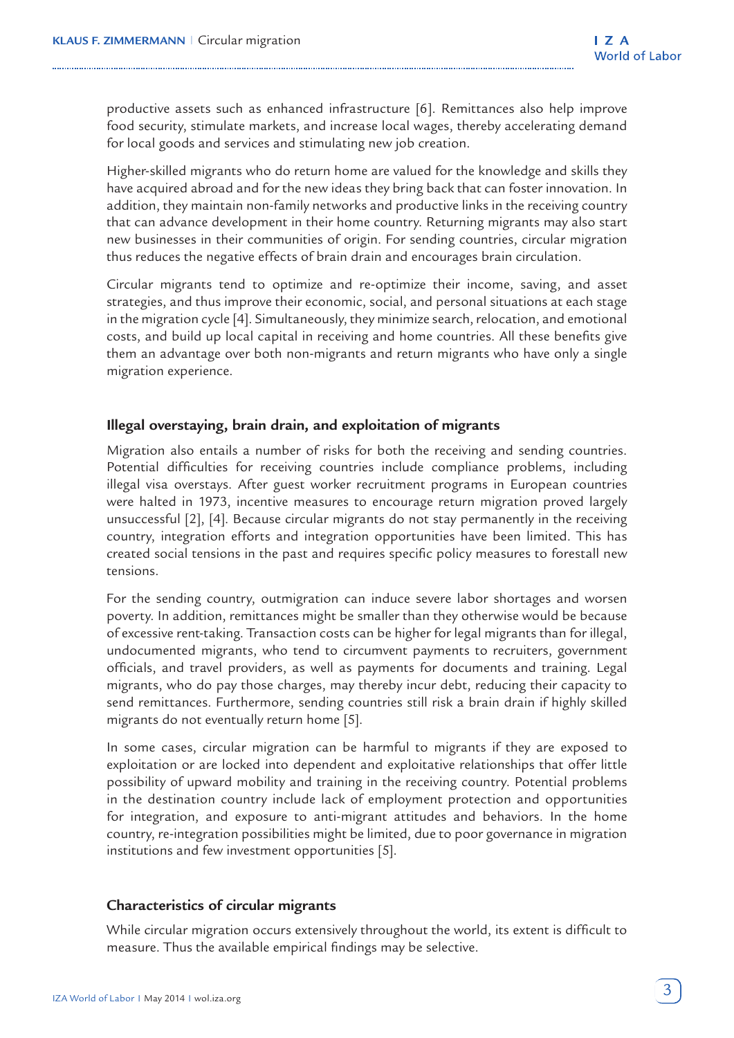productive assets such as enhanced infrastructure [6]. Remittances also help improve food security, stimulate markets, and increase local wages, thereby accelerating demand for local goods and services and stimulating new job creation.

Higher-skilled migrants who do return home are valued for the knowledge and skills they have acquired abroad and for the new ideas they bring back that can foster innovation. In addition, they maintain non-family networks and productive links in the receiving country that can advance development in their home country. Returning migrants may also start new businesses in their communities of origin. For sending countries, circular migration thus reduces the negative effects of brain drain and encourages brain circulation.

Circular migrants tend to optimize and re-optimize their income, saving, and asset strategies, and thus improve their economic, social, and personal situations at each stage in the migration cycle [4]. Simultaneously, they minimize search, relocation, and emotional costs, and build up local capital in receiving and home countries. All these benefits give them an advantage over both non-migrants and return migrants who have only a single migration experience.

# **Illegal overstaying, brain drain, and exploitation of migrants**

Migration also entails a number of risks for both the receiving and sending countries. Potential difficulties for receiving countries include compliance problems, including illegal visa overstays. After guest worker recruitment programs in European countries were halted in 1973, incentive measures to encourage return migration proved largely unsuccessful [2], [4]. Because circular migrants do not stay permanently in the receiving country, integration efforts and integration opportunities have been limited. This has created social tensions in the past and requires specific policy measures to forestall new tensions.

For the sending country, outmigration can induce severe labor shortages and worsen poverty. In addition, remittances might be smaller than they otherwise would be because of excessive rent-taking. Transaction costs can be higher for legal migrants than for illegal, undocumented migrants, who tend to circumvent payments to recruiters, government officials, and travel providers, as well as payments for documents and training. Legal migrants, who do pay those charges, may thereby incur debt, reducing their capacity to send remittances. Furthermore, sending countries still risk a brain drain if highly skilled migrants do not eventually return home [5].

In some cases, circular migration can be harmful to migrants if they are exposed to exploitation or are locked into dependent and exploitative relationships that offer little possibility of upward mobility and training in the receiving country. Potential problems in the destination country include lack of employment protection and opportunities for integration, and exposure to anti-migrant attitudes and behaviors. In the home country, re-integration possibilities might be limited, due to poor governance in migration institutions and few investment opportunities [5].

# **Characteristics of circular migrants**

While circular migration occurs extensively throughout the world, its extent is difficult to measure. Thus the available empirical findings may be selective.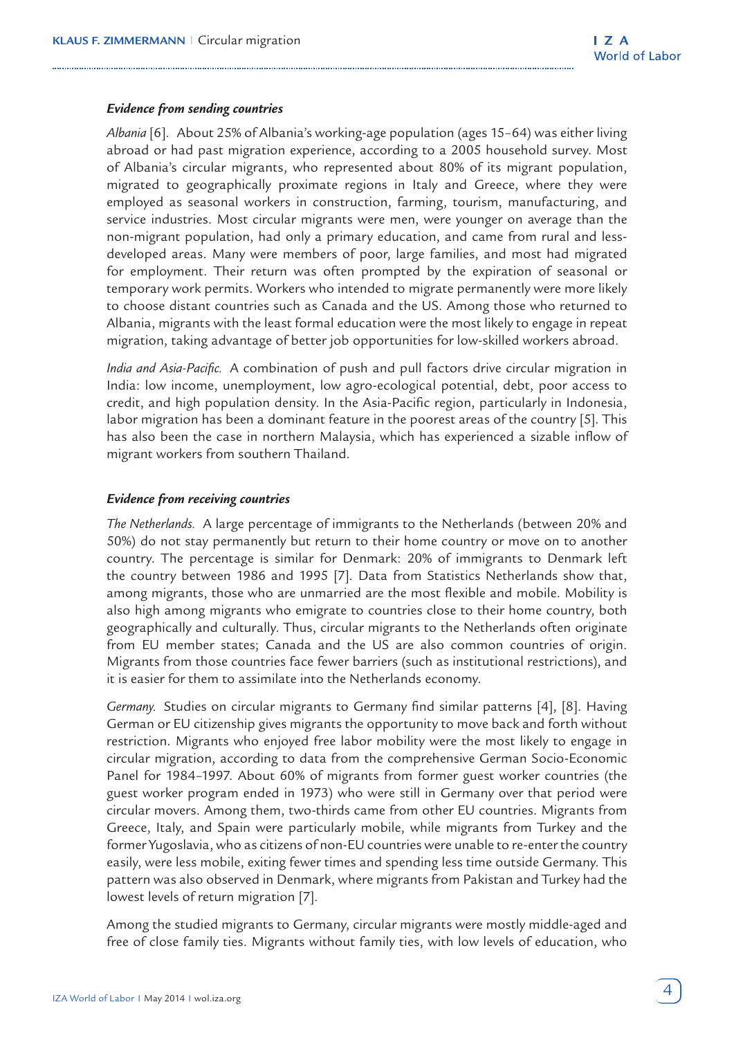#### *Evidence from sending countries*

*Albania* [6]*.* About 25% of Albania's working-age population (ages 15–64) was either living abroad or had past migration experience, according to a 2005 household survey. Most of Albania's circular migrants, who represented about 80% of its migrant population, migrated to geographically proximate regions in Italy and Greece, where they were employed as seasonal workers in construction, farming, tourism, manufacturing, and service industries. Most circular migrants were men, were younger on average than the non-migrant population, had only a primary education, and came from rural and lessdeveloped areas. Many were members of poor, large families, and most had migrated for employment. Their return was often prompted by the expiration of seasonal or temporary work permits. Workers who intended to migrate permanently were more likely to choose distant countries such as Canada and the US. Among those who returned to Albania, migrants with the least formal education were the most likely to engage in repeat migration, taking advantage of better job opportunities for low-skilled workers abroad.

*India and Asia-Pacific.* A combination of push and pull factors drive circular migration in India: low income, unemployment, low agro-ecological potential, debt, poor access to credit, and high population density. In the Asia-Pacific region, particularly in Indonesia, labor migration has been a dominant feature in the poorest areas of the country [5]. This has also been the case in northern Malaysia, which has experienced a sizable inflow of migrant workers from southern Thailand.

#### *Evidence from receiving countries*

*The Netherlands.* A large percentage of immigrants to the Netherlands (between 20% and 50%) do not stay permanently but return to their home country or move on to another country. The percentage is similar for Denmark: 20% of immigrants to Denmark left the country between 1986 and 1995 [7]. Data from Statistics Netherlands show that, among migrants, those who are unmarried are the most flexible and mobile. Mobility is also high among migrants who emigrate to countries close to their home country, both geographically and culturally. Thus, circular migrants to the Netherlands often originate from EU member states; Canada and the US are also common countries of origin. Migrants from those countries face fewer barriers (such as institutional restrictions), and it is easier for them to assimilate into the Netherlands economy.

*Germany.* Studies on circular migrants to Germany find similar patterns [4], [8]. Having German or EU citizenship gives migrants the opportunity to move back and forth without restriction. Migrants who enjoyed free labor mobility were the most likely to engage in circular migration, according to data from the comprehensive German Socio-Economic Panel for 1984–1997. About 60% of migrants from former guest worker countries (the guest worker program ended in 1973) who were still in Germany over that period were circular movers. Among them, two-thirds came from other EU countries. Migrants from Greece, Italy, and Spain were particularly mobile, while migrants from Turkey and the former Yugoslavia, who as citizens of non-EU countries were unable to re-enter the country easily, were less mobile, exiting fewer times and spending less time outside Germany. This pattern was also observed in Denmark, where migrants from Pakistan and Turkey had the lowest levels of return migration [7].

Among the studied migrants to Germany, circular migrants were mostly middle-aged and free of close family ties. Migrants without family ties, with low levels of education, who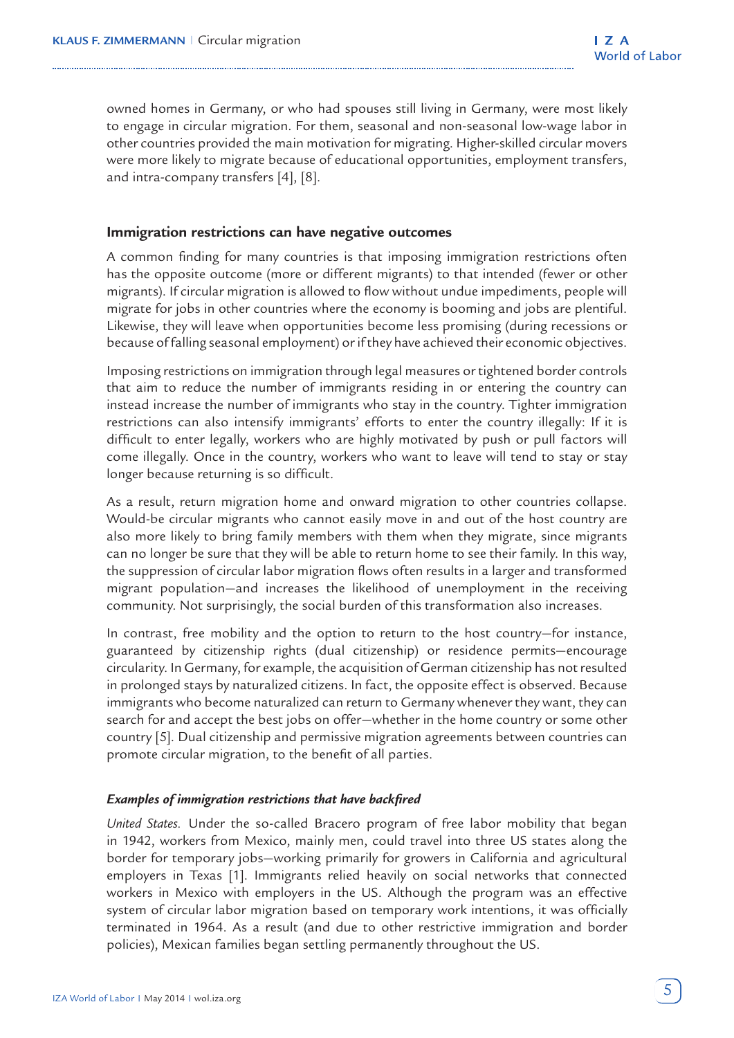owned homes in Germany, or who had spouses still living in Germany, were most likely to engage in circular migration. For them, seasonal and non-seasonal low-wage labor in other countries provided the main motivation for migrating. Higher-skilled circular movers were more likely to migrate because of educational opportunities, employment transfers, and intra-company transfers [4], [8].

#### **Immigration restrictions can have negative outcomes**

A common finding for many countries is that imposing immigration restrictions often has the opposite outcome (more or different migrants) to that intended (fewer or other migrants). If circular migration is allowed to flow without undue impediments, people will migrate for jobs in other countries where the economy is booming and jobs are plentiful. Likewise, they will leave when opportunities become less promising (during recessions or because of falling seasonal employment) or if they have achieved their economic objectives.

Imposing restrictions on immigration through legal measures or tightened border controls that aim to reduce the number of immigrants residing in or entering the country can instead increase the number of immigrants who stay in the country. Tighter immigration restrictions can also intensify immigrants' efforts to enter the country illegally: If it is difficult to enter legally, workers who are highly motivated by push or pull factors will come illegally. Once in the country, workers who want to leave will tend to stay or stay longer because returning is so difficult.

As a result, return migration home and onward migration to other countries collapse. Would-be circular migrants who cannot easily move in and out of the host country are also more likely to bring family members with them when they migrate, since migrants can no longer be sure that they will be able to return home to see their family. In this way, the suppression of circular labor migration flows often results in a larger and transformed migrant population—and increases the likelihood of unemployment in the receiving community. Not surprisingly, the social burden of this transformation also increases.

In contrast, free mobility and the option to return to the host country—for instance, guaranteed by citizenship rights (dual citizenship) or residence permits—encourage circularity. In Germany, for example, the acquisition of German citizenship has not resulted in prolonged stays by naturalized citizens. In fact, the opposite effect is observed. Because immigrants who become naturalized can return to Germany whenever they want, they can search for and accept the best jobs on offer—whether in the home country or some other country [5]. Dual citizenship and permissive migration agreements between countries can promote circular migration, to the benefit of all parties.

#### *Examples of immigration restrictions that have backfired*

*United States.* Under the so-called Bracero program of free labor mobility that began in 1942, workers from Mexico, mainly men, could travel into three US states along the border for temporary jobs—working primarily for growers in California and agricultural employers in Texas [1]. Immigrants relied heavily on social networks that connected workers in Mexico with employers in the US. Although the program was an effective system of circular labor migration based on temporary work intentions, it was officially terminated in 1964. As a result (and due to other restrictive immigration and border policies), Mexican families began settling permanently throughout the US.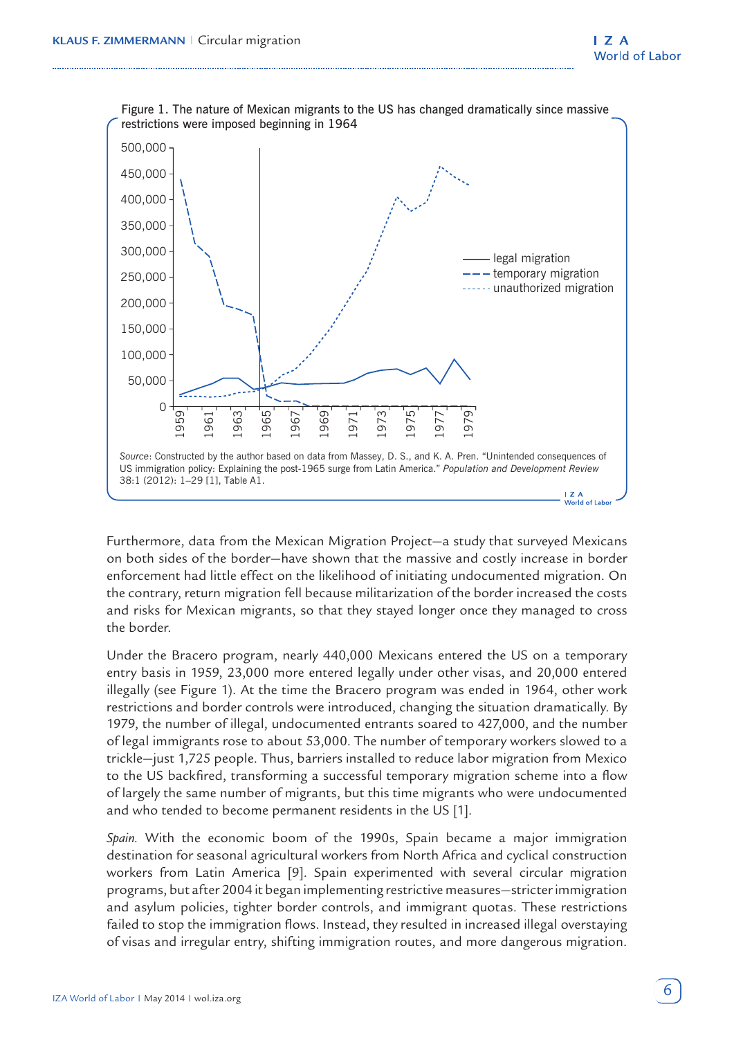

Furthermore, data from the Mexican Migration Project—a study that surveyed Mexicans on both sides of the border—have shown that the massive and costly increase in border enforcement had little effect on the likelihood of initiating undocumented migration. On the contrary, return migration fell because militarization of the border increased the costs and risks for Mexican migrants, so that they stayed longer once they managed to cross the border.

Under the Bracero program, nearly 440,000 Mexicans entered the US on a temporary entry basis in 1959, 23,000 more entered legally under other visas, and 20,000 entered illegally (see Figure 1). At the time the Bracero program was ended in 1964, other work restrictions and border controls were introduced, changing the situation dramatically. By 1979, the number of illegal, undocumented entrants soared to 427,000, and the number of legal immigrants rose to about 53,000. The number of temporary workers slowed to a trickle—just 1,725 people. Thus, barriers installed to reduce labor migration from Mexico to the US backfired, transforming a successful temporary migration scheme into a flow of largely the same number of migrants, but this time migrants who were undocumented and who tended to become permanent residents in the US [1].

*Spain.* With the economic boom of the 1990s, Spain became a major immigration destination for seasonal agricultural workers from North Africa and cyclical construction workers from Latin America [9]. Spain experimented with several circular migration programs, but after 2004 it began implementing restrictive measures—stricter immigration and asylum policies, tighter border controls, and immigrant quotas. These restrictions failed to stop the immigration flows. Instead, they resulted in increased illegal overstaying of visas and irregular entry, shifting immigration routes, and more dangerous migration.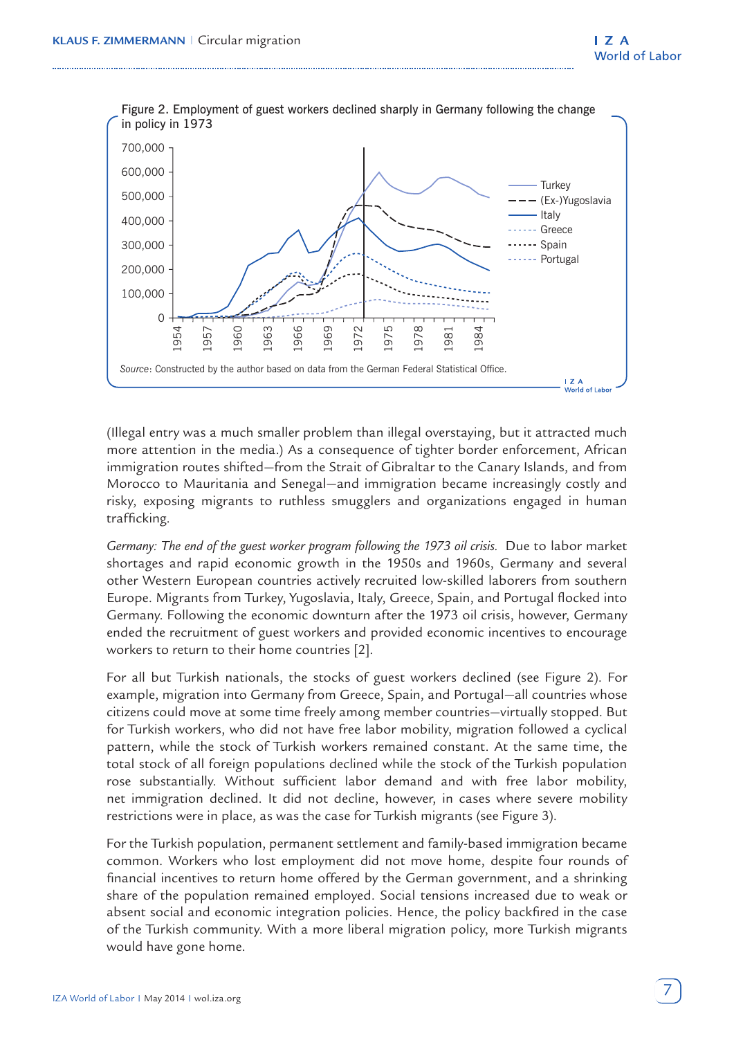

(Illegal entry was a much smaller problem than illegal overstaying, but it attracted much more attention in the media.) As a consequence of tighter border enforcement, African immigration routes shifted—from the Strait of Gibraltar to the Canary Islands, and from Morocco to Mauritania and Senegal—and immigration became increasingly costly and risky, exposing migrants to ruthless smugglers and organizations engaged in human trafficking.

*Germany: The end of the guest worker program following the 1973 oil crisis.* Due to labor market shortages and rapid economic growth in the 1950s and 1960s, Germany and several other Western European countries actively recruited low-skilled laborers from southern Europe. Migrants from Turkey, Yugoslavia, Italy, Greece, Spain, and Portugal flocked into Germany. Following the economic downturn after the 1973 oil crisis, however, Germany ended the recruitment of guest workers and provided economic incentives to encourage workers to return to their home countries [2].

For all but Turkish nationals, the stocks of guest workers declined (see Figure 2). For example, migration into Germany from Greece, Spain, and Portugal—all countries whose citizens could move at some time freely among member countries—virtually stopped. But for Turkish workers, who did not have free labor mobility, migration followed a cyclical pattern, while the stock of Turkish workers remained constant. At the same time, the total stock of all foreign populations declined while the stock of the Turkish population rose substantially. Without sufficient labor demand and with free labor mobility, net immigration declined. It did not decline, however, in cases where severe mobility restrictions were in place, as was the case for Turkish migrants (see Figure 3).

For the Turkish population, permanent settlement and family-based immigration became common. Workers who lost employment did not move home, despite four rounds of financial incentives to return home offered by the German government, and a shrinking share of the population remained employed. Social tensions increased due to weak or absent social and economic integration policies. Hence, the policy backfired in the case of the Turkish community. With a more liberal migration policy, more Turkish migrants would have gone home.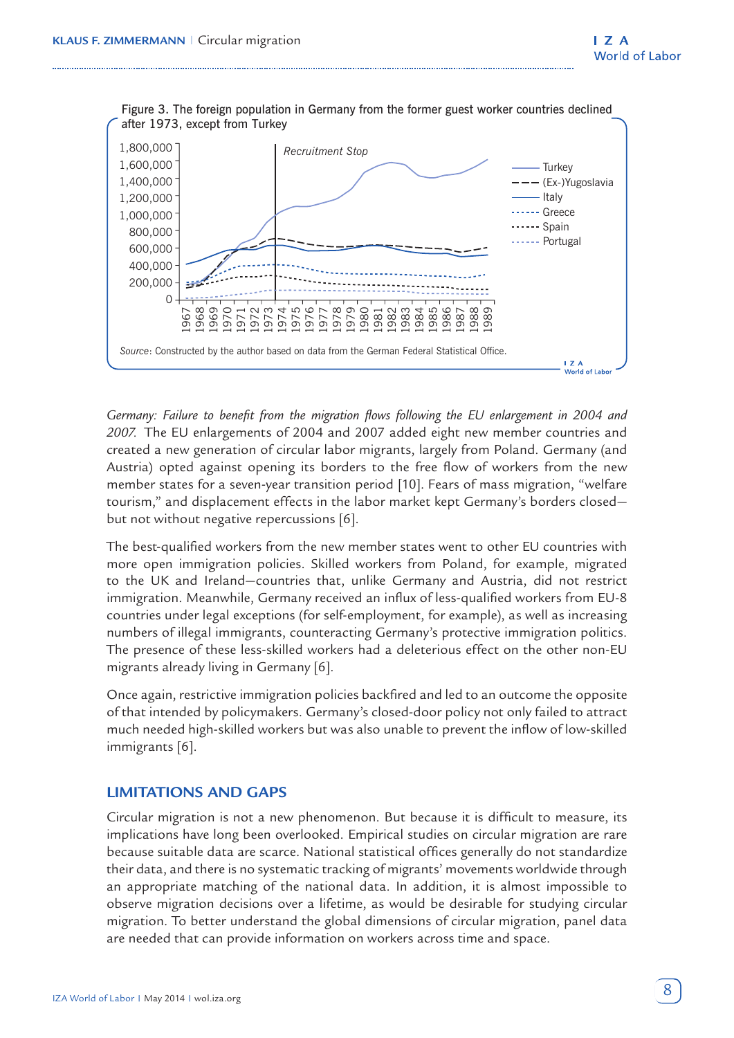

Figure 3. The foreign population in Germany from the former guest worker countries declined after 1973, except from Turkey

*Germany: Failure to benefit from the migration flows following the EU enlargement in 2004 and 2007.* The EU enlargements of 2004 and 2007 added eight new member countries and created a new generation of circular labor migrants, largely from Poland. Germany (and Austria) opted against opening its borders to the free flow of workers from the new member states for a seven-year transition period [10]. Fears of mass migration, "welfare tourism," and displacement effects in the labor market kept Germany's borders closed but not without negative repercussions [6].

The best-qualified workers from the new member states went to other EU countries with more open immigration policies. Skilled workers from Poland, for example, migrated to the UK and Ireland—countries that, unlike Germany and Austria, did not restrict immigration. Meanwhile, Germany received an influx of less-qualified workers from EU-8 countries under legal exceptions (for self-employment, for example), as well as increasing numbers of illegal immigrants, counteracting Germany's protective immigration politics. The presence of these less-skilled workers had a deleterious effect on the other non-EU migrants already living in Germany [6].

Once again, restrictive immigration policies backfired and led to an outcome the opposite of that intended by policymakers. Germany's closed-door policy not only failed to attract much needed high-skilled workers but was also unable to prevent the inflow of low-skilled immigrants [6].

#### **LIMITATIONS AND GAPS**

Circular migration is not a new phenomenon. But because it is difficult to measure, its implications have long been overlooked. Empirical studies on circular migration are rare because suitable data are scarce. National statistical offices generally do not standardize their data, and there is no systematic tracking of migrants' movements worldwide through an appropriate matching of the national data. In addition, it is almost impossible to observe migration decisions over a lifetime, as would be desirable for studying circular migration. To better understand the global dimensions of circular migration, panel data are needed that can provide information on workers across time and space.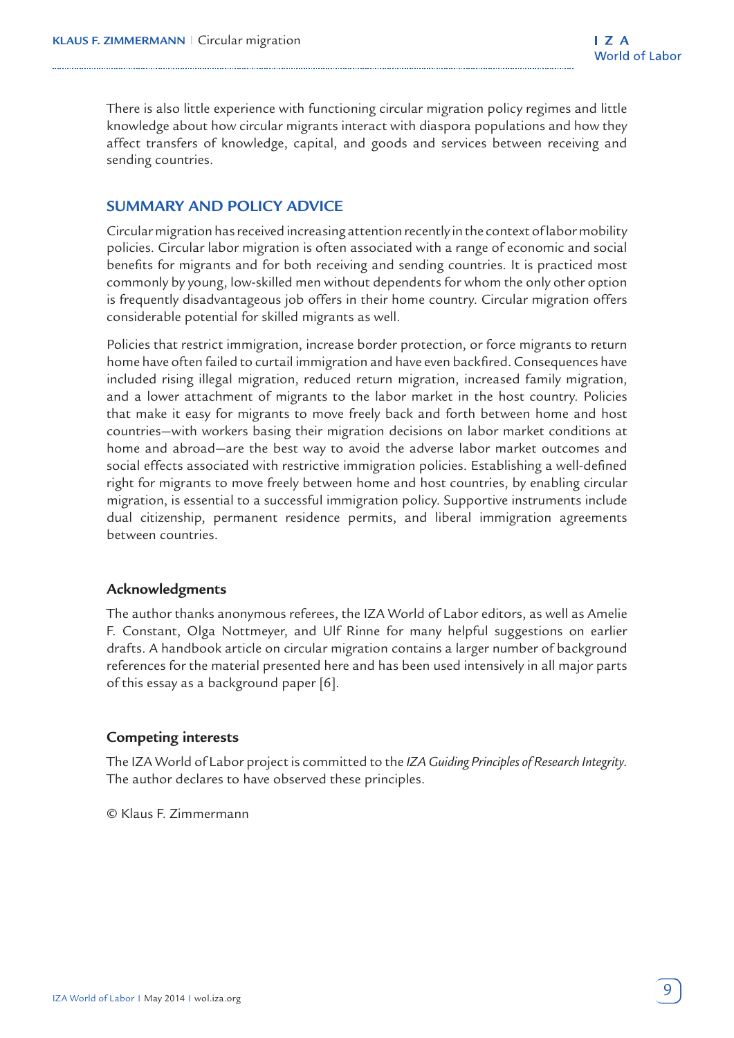There is also little experience with functioning circular migration policy regimes and little knowledge about how circular migrants interact with diaspora populations and how they affect transfers of knowledge, capital, and goods and services between receiving and sending countries.

# **SUMMARY AND POLICY ADVICE**

Circular migration has received increasing attention recently in the context of labor mobility policies. Circular labor migration is often associated with a range of economic and social benefits for migrants and for both receiving and sending countries. It is practiced most commonly by young, low-skilled men without dependents for whom the only other option is frequently disadvantageous job offers in their home country. Circular migration offers considerable potential for skilled migrants as well.

Policies that restrict immigration, increase border protection, or force migrants to return home have often failed to curtail immigration and have even backfired. Consequences have included rising illegal migration, reduced return migration, increased family migration, and a lower attachment of migrants to the labor market in the host country. Policies that make it easy for migrants to move freely back and forth between home and host countries—with workers basing their migration decisions on labor market conditions at home and abroad—are the best way to avoid the adverse labor market outcomes and social effects associated with restrictive immigration policies. Establishing a well-defined right for migrants to move freely between home and host countries, by enabling circular migration, is essential to a successful immigration policy. Supportive instruments include dual citizenship, permanent residence permits, and liberal immigration agreements between countries.

#### **Acknowledgments**

The author thanks anonymous referees, the IZA World of Labor editors, as well as Amelie F. Constant, Olga Nottmeyer, and Ulf Rinne for many helpful suggestions on earlier drafts. A handbook article on circular migration contains a larger number of background references for the material presented here and has been used intensively in all major parts of this essay as a background paper [6].

#### **Competing interests**

The IZA World of Labor project is committed to the *IZA Guiding Principles of Research Integrity*. The author declares to have observed these principles.

© Klaus F. Zimmermann